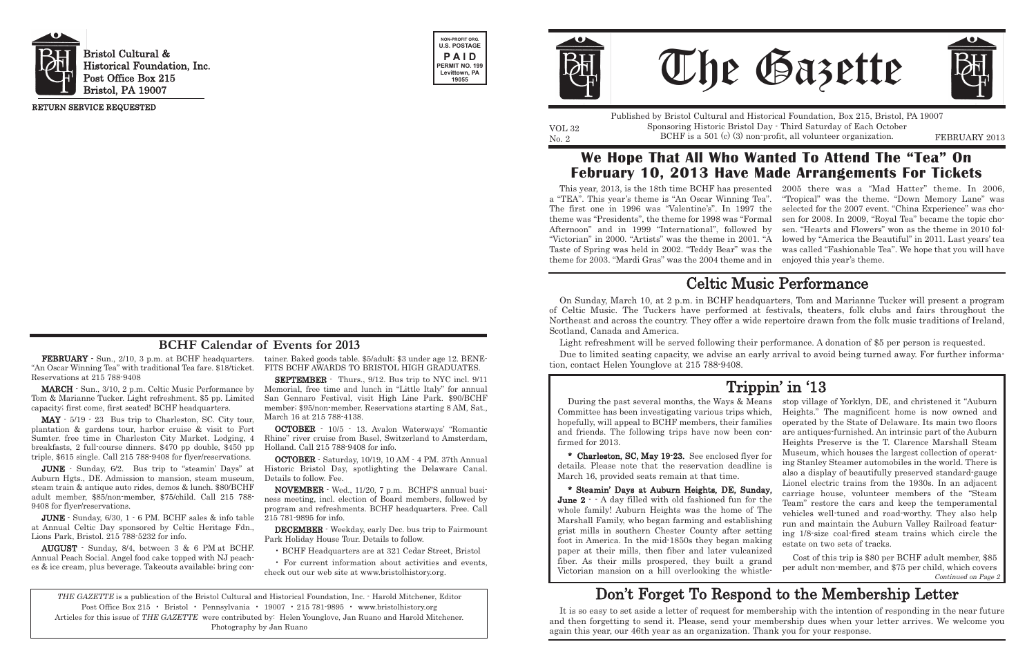"An Oscar Winning Tea" with traditional Tea fare. \$18/ticket. Reservations at 215 788-9408

MARCH - Sun., 3/10, 2 p.m. Celtic Music Performance by Tom & Marianne Tucker. Light refreshment. \$5 pp. Limited capacity; first come, first seated! BCHF headquarters.

MAY - 5/19 - 23 Bus trip to Charleston, SC. City tour, plantation & gardens tour, harbor cruise & visit to Fort Sumter. free time in Charleston City Market. Lodging, 4 breakfasts, 2 full-course dinners. \$470 pp double, \$450 pp triple, \$615 single. Call 215 788-9408 for flyer/reservations.

FEBRUARY - Sun., 2/10, 3 p.m. at BCHF headquarters. tainer. Baked goods table. \$5/adult; \$3 under age 12. BENE-FITS BCHF AWARDS TO BRISTOL HIGH GRADUATES.

JUNE - Sunday, 6/2. Bus trip to "steamin' Days" at Auburn Hgts., DE. Admission to mansion, steam museum, steam train & antique auto rides, demos & lunch. \$80/BCHF adult member, \$85/non-member, \$75/child. Call 215 788- 9408 for flyer/reservations.

JUNE - Sunday, 6/30, 1 - 6 PM. BCHF sales & info table at Annual Celtic Day sponsored by Celtic Heritage Fdn., Lions Park, Bristol. 215 788-5232 for info.

AUGUST - Sunday, 8/4, between 3 & 6 PM at BCHF. Annual Peach Social. Angel food cake topped with NJ peaches & ice cream, plus beverage. Takeouts available; bring conNo. 2 **EXECUARY 1988** BOL EXECUARY 2013 **BOLL EXECUARY** 2013 Published by Bristol Cultural and Historical Foundation, Box 215, Bristol, PA 19007 Sponsoring Historic Bristol Day - Third Saturday of Each October

SEPTEMBER - Thurs., 9/12. Bus trip to NYC incl. 9/11 Memorial, free time and lunch in "Little Italy" for annual San Gennaro Festival, visit High Line Park. \$90/BCHF member; \$95/non-member. Reservations starting 8 AM, Sat., March 16 at 215 788-4138.

OCTOBER - 10/5 - 13. Avalon Waterways' "Romantic Rhine" river cruise from Basel, Switzerland to Amsterdam, Holland. Call 215 788-9408 for info.

OCTOBER - Saturday, 10/19, 10 AM - 4 PM. 37th Annual Historic Bristol Day, spotlighting the Delaware Canal. Details to follow. Fee.

NOVEMBER - Wed., 11/20, 7 p.m. BCHF'S annual business meeting, incl. election of Board members, followed by program and refreshments. BCHF headquarters. Free. Call 215 781-9895 for info.

DECEMBER - Weekday, early Dec. bus trip to Fairmount Park Holiday House Tour. Details to follow.

• BCHF Headquarters are at 321 Cedar Street, Bristol

• For current information about activities and events, check out our web site at www.bristolhistory.org.



Bristol Cultural & Historical Foundation, Inc. Post Office Box 215 Bristol, PA 19007





VOL 32

RETURN SERVICE REQUESTED

THE GAZETTE is a publication of the Bristol Cultural and Historical Foundation, Inc. - Harold Mitchener, Editor Post Office Box 215 • Bristol • Pennsylvania • 19007 • 215 781-9895 • www.bristolhistory.org Articles for this issue of THE GAZETTE were contributed by: Helen Younglove, Jan Ruano and Harold Mitchener. Photography by Jan Ruano





#### **BCHF Calendar of Events for 2013**

This year, 2013, is the 18th time BCHF has presented 2005 there was a "Mad Hatter" theme. In 2006, a "TEA". This year's theme is "An Oscar Winning Tea". "Tropical" was the theme. "Down Memory Lane" was The first one in 1996 was "Valentine's". In 1997 the theme was "Presidents", the theme for 1998 was "Formal sen for 2008. In 2009, "Royal Tea" became the topic cho-Afternoon" and in 1999 "International", followed by sen. "Hearts and Flowers" won as the theme in 2010 fol-"Victorian" in 2000. "Artists" was the theme in 2001. "A lowed by "America the Beautiful" in 2011. Last years' tea Taste of Spring was held in 2002. "Teddy Bear" was the was called "Fashionable Tea". We hope that you will have theme for 2003. "Mardi Gras" was the 2004 theme and in enjoyed this year's theme. selected for the 2007 event. "China Experience" was cho-

Committee has been investigating various trips which, hopefully, will appeal to BCHF members, their families and friends. The following trips have now been confirmed for 2013. details. Please note that the reservation deadline is March 16, provided seats remain at that time. June 2 - - A day filled with old fashioned fun for the whole family! Auburn Heights was the home of The Marshall Family, who began farming and establishing grist mills in southern Chester County after setting foot in America. In the mid-1850s they began making paper at their mills, then fiber and later vulcanized fiber. As their mills prospered, they built a grand

During the past several months, the Ways & Means \* Charleston, SC, May 19-23. See enclosed flyer for \* Steamin' Days at Auburn Heights, DE, Sunday, stop village of Yorklyn, DE, and christened it "Auburn Heights." The magnificent home is now owned and operated by the State of Delaware. Its main two floors are antiques-furnished. An intrinsic part of the Auburn Heights Preserve is the T. Clarence Marshall Steam Museum, which houses the largest collection of operating Stanley Steamer automobiles in the world. There is also a display of beautifully preserved standard-gauge Lionel electric trains from the 1930s. In an adjacent carriage house, volunteer members of the "Steam Team" restore the cars and keep the temperamental vehicles well-tuned and road-worthy. They also help run and maintain the Auburn Valley Railroad featuring 1/8-size coal-fired steam trains which circle the estate on two sets of tracks. Cost of this trip is \$80 per BCHF adult member, \$85 per adult non-member, and \$75 per child, which covers

#### **We Hope That All Who Wanted To Attend The "Tea" On February 10, 2013 Have Made Arrangements For Tickets**

Victorian mansion on a hill overlooking the whistle-Continued on Page 2

It is so easy to set aside a letter of request for membership with the intention of responding in the near future and then forgetting to send it. Please, send your membership dues when your letter arrives. We welcome you again this year, our 46th year as an organization. Thank you for your response.

## Don't Forget To Respond to the Membership Letter

## Trippin' in '13

On Sunday, March 10, at 2 p.m. in BCHF headquarters, Tom and Marianne Tucker will present a program of Celtic Music. The Tuckers have performed at festivals, theaters, folk clubs and fairs throughout the Northeast and across the country. They offer a wide repertoire drawn from the folk music traditions of Ireland, Scotland, Canada and America.

Light refreshment will be served following their performance. A donation of \$5 per person is requested. Due to limited seating capacity, we advise an early arrival to avoid being turned away. For further information, contact Helen Younglove at 215 788-9408.

## Celtic Music Performance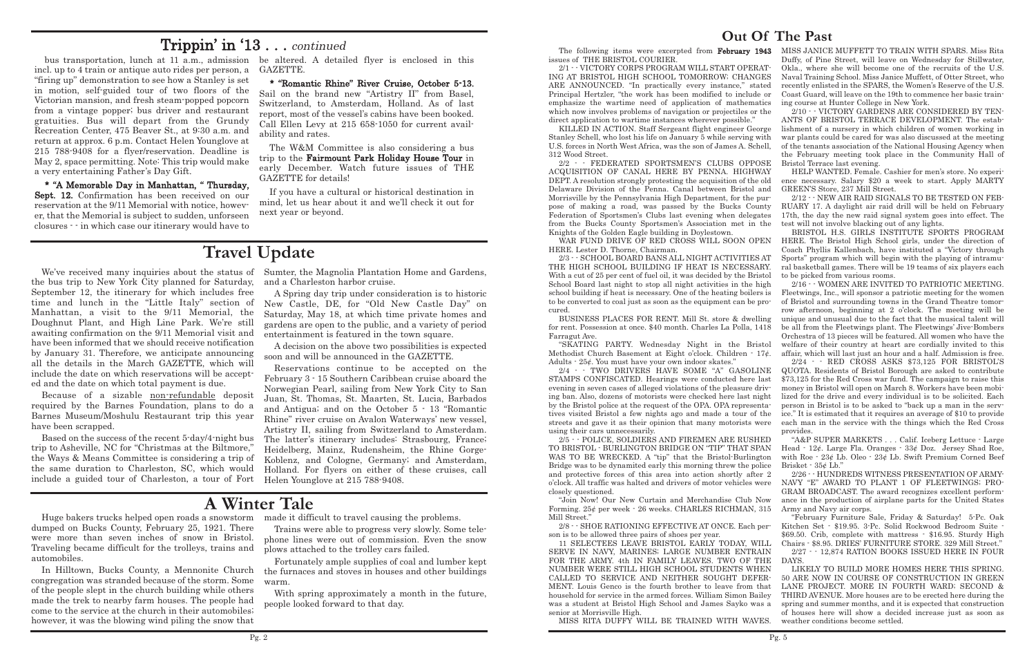#### **Out Of The Past**

school building if heat is necessary. One of the heating boilers is to be converted to coal just as soon as the equipment can be procured. for rent. Possession at once. \$40 month. Charles La Polla, 1418 Farragut Ave. Methodist Church Basement at Eight o'clock. Children - 17¢.

The following items were excerpted from February 1943 MISS JANICE MUFFETT TO TRAIN WITH SPARS. Miss Rita Duffy, of Pine Street, will leave on Wednesday for Stillwater, Okla., where she will become one of the recruits of the U.S. Naval Training School. Miss Janice Muffett, of Otter Street, who recently enlisted in the SPARS, the Women's Reserve of the U.S. Coast Guard, will leave on the 19th to commence her basic training course at Hunter College in New York.

issues of THE BRISTOL COURIER. 2/1 - - VICTORY CORPS PROGRAM WILL START OPERAT-ING AT BRISTOL HIGH SCHOOL TOMORROW; CHANGES ARE ANNOUNCED. "In practically every instance," stated Principal Hertzler, "the work has been modified to include or emphasize the wartime need of application of mathematics which now involves problems of navigation or projectiles or the 2/10 - - VICTORY GARDENS ARE CONSIDERED BY TEN-ANTS OF BRISTOL TERRACE DEVELOPMENT. The estab-

direct application to wartime instances wherever possible." KILLED IN ACTION. Staff Sergeant flight engineer George Stanley Schell, who lost his life on January 5 while serving with U.S. forces in North West Africa, was the son of James A. Schell, 312 Wood Street. 2/2 - - FEDERATED SPORTSMEN'S CLUBS OPPOSE lishment of a nursery in which children of women working in war plants could be cared for was also discussed at the meeting of the tenants association of the National Housing Agency when the February meeting took place in the Community Hall of Bristol Terrace last evening.

ACQUISITION OF CANAL HERE BY PENNA. HIGHWAY DEPT. A resolution strongly protesting the acquisition of the old Delaware Division of the Penna. Canal between Bristol and Morrisville by the Pennsylvania High Department, for the purpose of making a road, was passed by the Bucks County Federation of Sportsmen's Clubs last evening when delegates from the Bucks County Sportsmen's Association met in the Knights of the Golden Eagle building in Doylestown. HELP WANTED. Female. Cashier for men's store. No experience necessary. Salary \$20 a week to start. Apply MARTY GREEN'S Store, 237 Mill Street. 2/12 - - NEW AIR RAID SIGNALS TO BE TESTED ON FEB-RUARY 17. A daylight air raid drill will be held on February 17th, the day the new raid signal system goes into effect. The test will not involve blacking out of any lights. BRISTOL H.S. GIRLS INSTITUTE SPORTS PROGRAM

WAR FUND DRIVE OF RED CROSS WILL SOON OPEN HERE. Lester D. Thorne, Chairman. 2/3 - - SCHOOL BOARD BANS ALL NIGHT ACTIVITIES AT HERE. The Bristol High School girls, under the direction of Coach Phyllis Kallenbach, have instituted a "Victory through Sports" program which will begin with the playing of intramural basketball games. There will be 19 teams of six players each to be picked from various rooms.

THE HIGH SCHOOL BUILDING IF HEAT IS NECESSARY. With a cut of 25 per cent of fuel oil, it was decided by the Bristol School Board last night to stop all night activities in the high BUSINESS PLACES FOR RENT. Mill St. store & dwelling "SKATING PARTY. Wednesday Night in the Bristol 2/16 - - WOMEN ARE INVITED TO PATRIOTIC MEETING. Fleetwings, Inc., will sponsor a patriotic meeting for the women of Bristol and surrounding towns in the Grand Theatre tomorrow afternoon, beginning at 2 o'clock. The meeting will be unique and unusual due to the fact that the musical talent will be all from the Fleetwings plant. The Fleetwings' Jive-Bombers Orchestra of 13 pieces will be featured. All women who have the welfare of their country at heart are cordially invited to this affair, which will last just an hour and a half. Admission is free.

Adults - 25¢. You must have your own indoor skates." 2/24 - - RED CROSS ASKS \$73,125 FOR BRISTOL'S

2/4 - - TWO DRIVERS HAVE SOME "A" GASOLINE STAMPS CONFISCATED. Hearings were conducted here last evening in seven cases of alleged violations of the pleasure driving ban. Also, dozens of motorists were checked here last night by the Bristol police at the request of the OPA. OPA representatives visited Bristol a few nights ago and made a tour of the streets and gave it as their opinion that many motorists were using their cars unnecessarily. QUOTA. Residents of Bristol Borough are asked to contribute \$73,125 for the Red Cross war fund. The campaign to raise this money in Bristol will open on March 8. Workers have been mobilized for the drive and every individual is to be solicited. Each person in Bristol is to be asked to "back up a man in the service." It is estimated that it requires an average of \$10 to provide each man in the service with the things which the Red Cross provides.

We've received many inquiries about the status of Sumter, the Magnolia Plantation Home and Gardens, and a Charleston harbor cruise.

> 2/5 - - POLICE, SOLDIERS AND FIREMEN ARE RUSHED TO BRISTOL - BURLINGTON BRIDGE ON "TIP" THAT SPAN WAS TO BE WRECKED. A "tip" that the Bristol-Burlington Bridge was to be dynamited early this morning threw the police and protective forces of this area into action shortly after 2 o'clock. All traffic was halted and drivers of motor vehicles were closely questioned. "Join Now! Our New Curtain and Merchandise Club Now Forming. 25¢ per week - 26 weeks. CHARLES RICHMAN, 315 "A&P SUPER MARKETS . . . Calif. Iceberg Lettuce - Large Head - 12¢. Large Fla. Oranges - 33¢ Doz. Jersey Shad Roe, with Roe - 23¢ Lb. Oleo - 23¢ Lb. Swift Premium Corned Beef Brisket - 35¢ Lb." 2/26 - - HUNDREDS WITNESS PRESENTATION OF ARMY-NAVY "E" AWARD TO PLANT 1 OF FLEETWINGS; PRO-GRAM BROADCAST. The award recognizes excellent performance in the production of airplane parts for the United States Army and Navy air corps.

> Mill Street." 2/8 - - SHOE RATIONING EFFECTIVE AT ONCE. Each person is to be allowed three pairs of shoes per year. 11 SELECTEES LEAVE BRISTOL EARLY TODAY, WILL SERVE IN NAVY, MARINES; LARGE NUMBER ENTRAIN Kitchen Set - \$19.95. 3-Pc. Solid Rockwood Bedroom Suite - \$69.50. Crib, complete with mattress - \$16.95. Sturdy High Chairs - \$8.95. DRIES' FURNITURE STORE. 329 Mill Street." 2/27 - - 12,874 RATION BOOKS ISSUED HERE IN FOUR DAYS.

> FOR THE ARMY. 4th IN FAMILY LEAVES. TWO OF THE NUMBER WERE STILL HIGH SCHOOL STUDENTS WHEN CALLED TO SERVICE AND NEITHER SOUGHT DEFER-MENT. Louis Genco is the fourth brother to leave from that household for service in the armed forces. William Simon Bailey was a student at Bristol High School and James Sayko was a senior at Morrisville High. MISS RITA DUFFY WILL BE TRAINED WITH WAVES. LIKELY TO BUILD MORE HOMES HERE THIS SPRING. 50 ARE NOW IN COURSE OF CONSTRUCTION IN GREEN LANE PROJECT. MORE IN FOURTH WARD; SECOND & THIRD AVENUE. More houses are to be erected here during the spring and summer months, and it is expected that construction of houses here will show a decided increase just as soon as weather conditions become settled.

"February Furniture Sale, Friday & Saturday! 5-Pc. Oak

the bus trip to New York City planned for Saturday, September 12, the itinerary for which includes free time and lunch in the "Little Italy" section of Manhattan, a visit to the 9/11 Memorial, the Doughnut Plant, and High Line Park. We're still awaiting confirmation on the 9/11 Memorial visit and have been informed that we should receive notification by January 31. Therefore, we anticipate announcing all the details in the March GAZETTE, which will include the date on which reservations will be accepted and the date on which total payment is due.

Because of a sizable non-refundable deposit required by the Barnes Foundation, plans to do a Barnes Museum/Moshulu Restaurant trip this year have been scrapped.

Based on the success of the recent 5-day/4-night bus trip to Asheville, NC for "Christmas at the Biltmore," the Ways & Means Committee is considering a trip of the same duration to Charleston, SC, which would include a guided tour of Charleston, a tour of Fort

A Spring day trip under consideration is to historic New Castle, DE, for "Old New Castle Day" on Saturday, May 18, at which time private homes and gardens are open to the public, and a variety of period entertainment is featured in the town square.

A decision on the above two possibilities is expected soon and will be announced in the GAZETTE.

Reservations continue to be accepted on the February 3 - 15 Southern Caribbean cruise aboard the Norwegian Pearl, sailing from New York City to San Juan, St. Thomas, St. Maarten, St. Lucia, Barbados and Antigua; and on the October 5 - 13 "Romantic Rhine" river cruise on Avalon Waterways' new vessel, Artistry II, sailing from Switzerland to Amsterdam. The latter's itinerary includes: Strasbourg, France; Heidelberg, Mainz, Rudensheim, the Rhine Gorge-Koblenz, and Cologne, Germany; and Amsterdam, Holland. For flyers on either of these cruises, call Helen Younglove at 215 788-9408.

### **Travel Update**

Huge bakers trucks helped open roads a snowstorm dumped on Bucks County, February 25, 1921. There were more than seven inches of snow in Bristol. Traveling became difficult for the trolleys, trains and automobiles.

In Hilltown, Bucks County, a Mennonite Church congregation was stranded because of the storm. Some of the people slept in the church building while others made the trek to nearby farm houses. The people had come to the service at the church in their automobiles; however, it was the blowing wind piling the snow that

made it difficult to travel causing the problems.

Trains were able to progress very slowly. Some telephone lines were out of commission. Even the snow plows attached to the trolley cars failed.

Fortunately ample supplies of coal and lumber kept the furnaces and stoves in houses and other buildings warm.

With spring approximately a month in the future, people looked forward to that day.

### **A Winter Tale**

incl. up to 4 train or antique auto rides per person, a "firing up" demonstration to see how a Stanley is set in motion, self-guided tour of two floors of the Victorian mansion, and fresh steam-popped popcorn from a vintage popper; bus driver and restaurant gratuities. Bus will depart from the Grundy Recreation Center, 475 Beaver St., at 9:30 a.m. and return at approx. 6 p.m. Contact Helen Younglove at 215 788-9408 for a flyer/reservation. Deadline is May 2, space permitting. Note: This trip would make a very entertaining Father's Day Gift.

bus transportation, lunch at 11 a.m., admission be altered. A detailed flyer is enclosed in this GAZETTE.

\* "A Memorable Day in Manhattan, " Thursday, Sept. 12. Confirmation has been received on our reservation at the 9/11 Memorial with notice, however, that the Memorial is subject to sudden, unforseen closures - - in which case our itinerary would have to

\* "Romantic Rhine" River Cruise, October 5-13. Sail on the brand new "Artistry II" from Basel, Switzerland, to Amsterdam, Holland. As of last report, most of the vessel's cabins have been booked. Call Ellen Levy at 215 658-1050 for current availability and rates.

The W&M Committee is also considering a bus trip to the Fairmount Park Holiday House Tour in early December. Watch future issues of THE GAZETTE for details!

If you have a cultural or historical destination in mind, let us hear about it and we'll check it out for next year or beyond.

#### Trippin' in '13 . . . continued